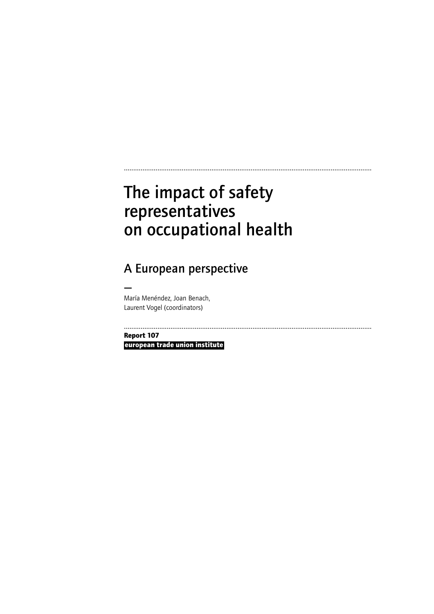# The impact of safety representatives on occupational health

A European perspective

— María Menéndez, Joan Benach, Laurent Vogel (coordinators)

.....................................................................................................................................

.....................................................................................................................................

**Report 107**

**european trade union institute**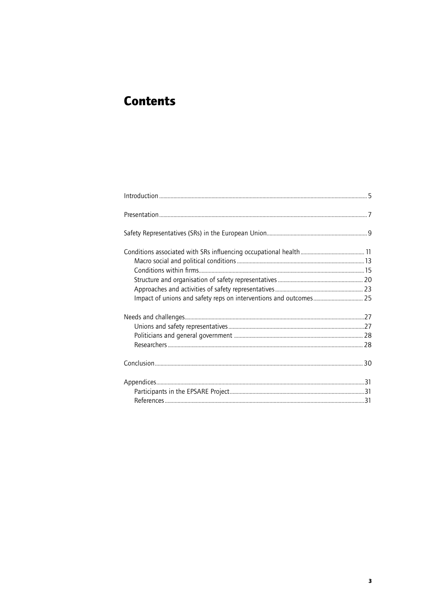## **Contents**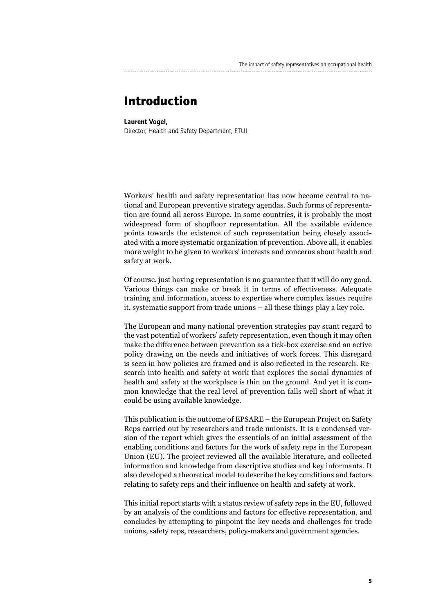## **Introduction**

#### Laurent Vogel,

Director, Health and Safety Department, ETUI

Workers' health and safety representation has now become central to national and European preventive strategy agendas. Such forms of representation are found all across Europe. In some countries, it is probably the most widespread form of shopfloor representation. All the available evidence points towards the existence of such representation being closely associated with a more systematic organization of prevention. Above all, it enables more weight to be given to workers' interests and concerns about health and safety at work.

Of course, just having representation is no guarantee that it will do any good. Various things can make or break it in terms of effectiveness. Adequate training and information, access to expertise where complex issues require it, systematic support from trade unions – all these things play a key role.

The European and many national prevention strategies pay scant regard to the vast potential of workers' safety representation, even though it may often make the difference between prevention as a tick-box exercise and an active policy drawing on the needs and initiatives of work forces. This disregard is seen in how policies are framed and is also reflected in the research. Research into health and safety at work that explores the social dynamics of health and safety at the workplace is thin on the ground. And yet it is common knowledge that the real level of prevention falls well short of what it could be using available knowledge.

This publication is the outcome of EPSARE – the European Project on Safety Reps carried out by researchers and trade unionists. It is a condensed version of the report which gives the essentials of an initial assessment of the enabling conditions and factors for the work of safety reps in the European Union (EU). The project reviewed all the available literature, and collected information and knowledge from descriptive studies and key informants. It also developed a theoretical model to describe the key conditions and factors relating to safety reps and their influence on health and safety at work.

This initial report starts with a status review of safety reps in the EU, followed by an analysis of the conditions and factors for effective representation, and concludes by attempting to pinpoint the key needs and challenges for trade unions, safety reps, researchers, policy-makers and government agencies.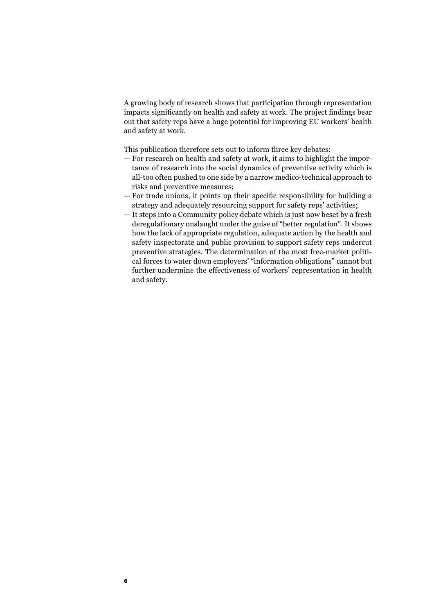A growing body of research shows that participation through representation impacts significantly on health and safety at work. The project findings bear out that safety reps have a huge potential for improving EU workers' health and safety at work.

This publication therefore sets out to inform three key debates:

- For research on health and safety at work, it aims to highlight the importance of research into the social dynamics of preventive activity which is all-too often pushed to one side by a narrow medico-technical approach to risks and preventive measures;
- For trade unions, it points up their specific responsibility for building a strategy and adequately resourcing support for safety reps' activities;
- It steps into a Community policy debate which is just now beset by a fresh deregulationary onslaught under the guise of "better regulation". It shows how the lack of appropriate regulation, adequate action by the health and safety inspectorate and public provision to support safety reps undercut preventive strategies. The determination of the most free-market political forces to water down employers' "information obligations" cannot but further undermine the effectiveness of workers' representation in health and safety.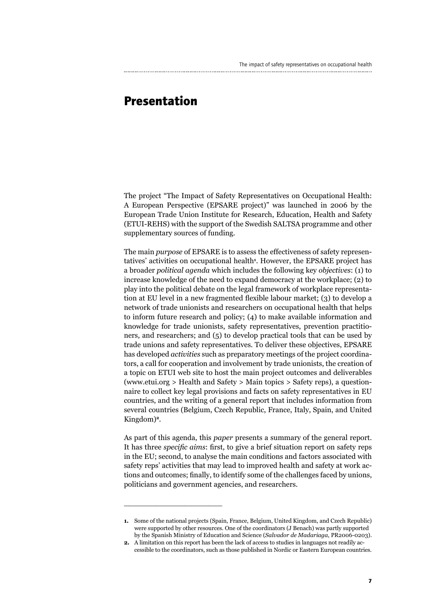## **Presentation**

The project "The Impact of Safety Representatives on Occupational Health: A European Perspective (EPSARE project)" was launched in 2006 by the European Trade Union Institute for Research, Education, Health and Safety (ETUI-REHS) with the support of the Swedish SALTSA programme and other supplementary sources of funding.

The main *purpose* of EPSARE is to assess the effectiveness of safety representatives' activities on occupational health**<sup>1</sup>** . However, the EPSARE project has a broader *political agenda* which includes the following key *objectives*: (1) to increase knowledge of the need to expand democracy at the workplace; (2) to play into the political debate on the legal framework of workplace representation at EU level in a new fragmented flexible labour market; (3) to develop a network of trade unionists and researchers on occupational health that helps to inform future research and policy; (4) to make available information and knowledge for trade unionists, safety representatives, prevention practitioners, and researchers; and (5) to develop practical tools that can be used by trade unions and safety representatives. To deliver these objectives, EPSARE has developed *activities* such as preparatory meetings of the project coordinators, a call for cooperation and involvement by trade unionists, the creation of a topic on ETUI web site to host the main project outcomes and deliverables (www.etui.org > Health and Safety > Main topics > Safety reps), a questionnaire to collect key legal provisions and facts on safety representatives in EU countries, and the writing of a general report that includes information from several countries (Belgium, Czech Republic, France, Italy, Spain, and United Kingdom)**<sup>2</sup>**.

As part of this agenda, this *paper* presents a summary of the general report. It has three *specific aims*: first, to give a brief situation report on safety reps in the EU; second, to analyse the main conditions and factors associated with safety reps' activities that may lead to improved health and safety at work actions and outcomes; finally, to identify some of the challenges faced by unions, politicians and government agencies, and researchers.

\_\_\_\_\_\_\_\_\_\_\_\_\_\_\_\_\_\_\_\_\_

**<sup>1.</sup>** Some of the national projects (Spain, France, Belgium, United Kingdom, and Czech Republic) were supported by other resources. One of the coordinators (J Benach) was partly supported by the Spanish Ministry of Education and Science (*Salvador de Madariaga*, PR2006-0203).

**<sup>2.</sup>** A limitation on this report has been the lack of access to studies in languages not readily accessible to the coordinators, such as those published in Nordic or Eastern European countries.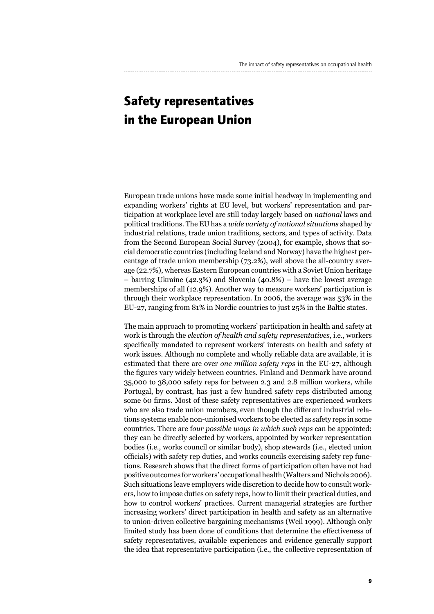## **Safety representatives in the European Union**

European trade unions have made some initial headway in implementing and expanding workers' rights at EU level, but workers' representation and participation at workplace level are still today largely based on *national* laws and political traditions. The EU has a *wide variety of national situations* shaped by industrial relations, trade union traditions, sectors, and types of activity. Data from the Second European Social Survey (2004), for example, shows that social democratic countries (including Iceland and Norway) have the highest percentage of trade union membership (73.2%), well above the all-country average (22.7%), whereas Eastern European countries with a Soviet Union heritage – barring Ukraine (42.3%) and Slovenia (40.8%) – have the lowest average memberships of all (12.9%). Another way to measure workers' participation is through their workplace representation. In 2006, the average was 53% in the EU-27, ranging from 81% in Nordic countries to just 25% in the Baltic states.

The main approach to promoting workers' participation in health and safety at work is through the *election of health and safety representatives*, i.e., workers specifically mandated to represent workers' interests on health and safety at work issues. Although no complete and wholly reliable data are available, it is estimated that there are over *one million safety reps* in the EU-27, although the figures vary widely between countries. Finland and Denmark have around 35,000 to 38,000 safety reps for between 2.3 and 2.8 million workers, while Portugal, by contrast, has just a few hundred safety reps distributed among some 60 firms. Most of these safety representatives are experienced workers who are also trade union members, even though the different industrial relations systems enable non-unionised workers to be elected as safety reps in some countries. There are f*our possible ways in which such reps* can be appointed: they can be directly selected by workers, appointed by worker representation bodies (i.e., works council or similar body), shop stewards (i.e., elected union officials) with safety rep duties, and works councils exercising safety rep functions. Research shows that the direct forms of participation often have not had positive outcomes for workers' occupational health (Walters and Nichols 2006). Such situations leave employers wide discretion to decide how to consult workers, how to impose duties on safety reps, how to limit their practical duties, and how to control workers' practices. Current managerial strategies are further increasing workers' direct participation in health and safety as an alternative to union-driven collective bargaining mechanisms (Weil 1999). Although only limited study has been done of conditions that determine the effectiveness of safety representatives, available experiences and evidence generally support the idea that representative participation (i.e., the collective representation of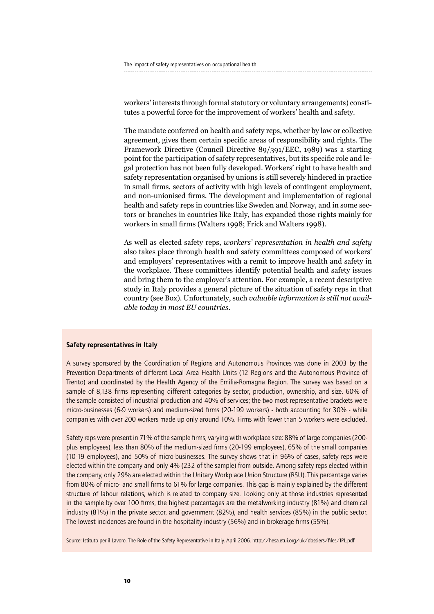workers' interests through formal statutory or voluntary arrangements) constitutes a powerful force for the improvement of workers' health and safety.

The mandate conferred on health and safety reps, whether by law or collective agreement, gives them certain specific areas of responsibility and rights. The Framework Directive (Council Directive 89/391/EEC, 1989) was a starting point for the participation of safety representatives, but its specific role and legal protection has not been fully developed. Workers' right to have health and safety representation organised by unions is still severely hindered in practice in small firms, sectors of activity with high levels of contingent employment, and non-unionised firms. The development and implementation of regional health and safety reps in countries like Sweden and Norway, and in some sectors or branches in countries like Italy, has expanded those rights mainly for workers in small firms (Walters 1998; Frick and Walters 1998).

As well as elected safety reps, *workers' representation in health and safety* also takes place through health and safety committees composed of workers' and employers' representatives with a remit to improve health and safety in the workplace. These committees identify potential health and safety issues and bring them to the employer's attention. For example, a recent descriptive study in Italy provides a general picture of the situation of safety reps in that country (see Box). Unfortunately, such *valuable information is still not available today in most EU countries*.

#### Safety representatives in Italy

A survey sponsored by the Coordination of Regions and Autonomous Provinces was done in 2003 by the Prevention Departments of different Local Area Health Units (12 Regions and the Autonomous Province of Trento) and coordinated by the Health Agency of the Emilia-Romagna Region. The survey was based on a sample of 8,138 firms representing different categories by sector, production, ownership, and size. 60% of the sample consisted of industrial production and 40% of services; the two most representative brackets were micro-businesses (6-9 workers) and medium-sized firms (20-199 workers) - both accounting for 30% - while companies with over 200 workers made up only around 10%. Firms with fewer than 5 workers were excluded.

Safety reps were present in 71% of the sample firms, varying with workplace size: 88% of large companies (200plus employees), less than 80% of the medium-sized firms (20-199 employees), 65% of the small companies (10-19 employees), and 50% of micro-businesses. The survey shows that in 96% of cases, safety reps were elected within the company and only 4% (232 of the sample) from outside. Among safety reps elected within the company, only 29% are elected within the Unitary Workplace Union Structure (RSU). This percentage varies from 80% of micro- and small firms to 61% for large companies. This gap is mainly explained by the different structure of labour relations, which is related to company size. Looking only at those industries represented in the sample by over 100 firms, the highest percentages are the metalworking industry (81%) and chemical industry (81%) in the private sector, and government (82%), and health services (85%) in the public sector. The lowest incidences are found in the hospitality industry (56%) and in brokerage firms (55%).

Source: Istituto per il Lavoro. The Role of the Safety Representative in Italy. April 2006. http://hesa.etui.org/uk/dossiers/files/IPL.pdf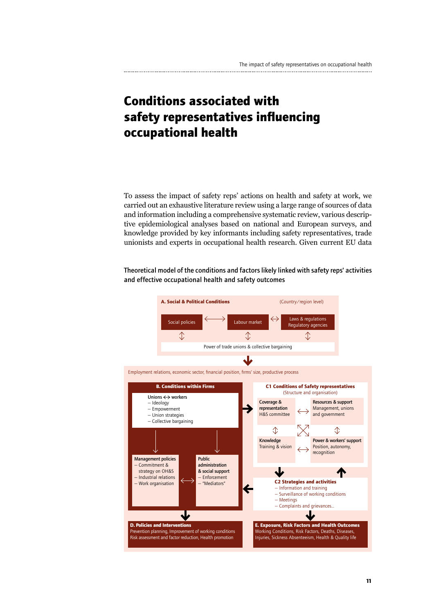## **Conditions associated with safety representatives influencing occupational health**

To assess the impact of safety reps' actions on health and safety at work, we carried out an exhaustive literature review using a large range of sources of data and information including a comprehensive systematic review, various descriptive epidemiological analyses based on national and European surveys, and knowledge provided by key informants including safety representatives, trade unionists and experts in occupational health research. Given current EU data

Theoretical model of the conditions and factors likely linked with safety reps' activities and effective occupational health and safety outcomes

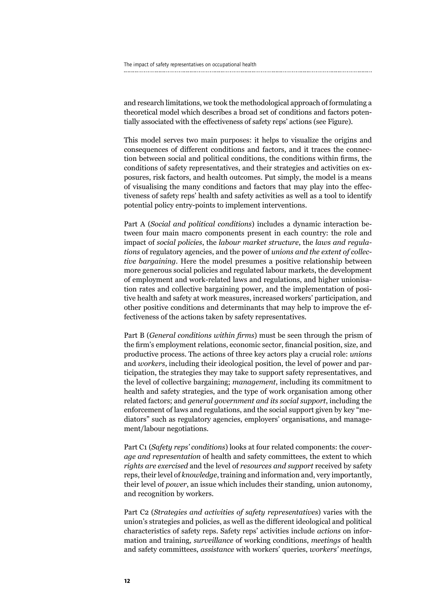and research limitations, we took the methodological approach of formulating a theoretical model which describes a broad set of conditions and factors potentially associated with the effectiveness of safety reps' actions (see Figure).

This model serves two main purposes: it helps to visualize the origins and consequences of different conditions and factors, and it traces the connection between social and political conditions, the conditions within firms, the conditions of safety representatives, and their strategies and activities on exposures, risk factors, and health outcomes. Put simply, the model is a means of visualising the many conditions and factors that may play into the effectiveness of safety reps' health and safety activities as well as a tool to identify potential policy entry-points to implement interventions.

Part A (*Social and political conditions*) includes a dynamic interaction between four main macro components present in each country: the role and impact of *social policies*, the *labour market structure*, the *laws and regulations* of regulatory agencies, and the power of *unions and the extent of collective bargaining*. Here the model presumes a positive relationship between more generous social policies and regulated labour markets, the development of employment and work-related laws and regulations, and higher unionisation rates and collective bargaining power, and the implementation of positive health and safety at work measures, increased workers' participation, and other positive conditions and determinants that may help to improve the effectiveness of the actions taken by safety representatives.

Part B (*General conditions within firms*) must be seen through the prism of the firm's employment relations, economic sector, financial position, size, and productive process. The actions of three key actors play a crucial role: *unions* and *workers*, including their ideological position, the level of power and participation, the strategies they may take to support safety representatives, and the level of collective bargaining; *management*, including its commitment to health and safety strategies, and the type of work organisation among other related factors; and *general government and its social support*, including the enforcement of laws and regulations, and the social support given by key "mediators" such as regulatory agencies, employers' organisations, and management/labour negotiations.

Part C1 (*Safety reps' conditions*) looks at four related components: the *coverage and representation* of health and safety committees, the extent to which *rights are exercised* and the level of *resources and support* received by safety reps, their level of *knowledge*, training and information and, very importantly, their level of *power*, an issue which includes their standing, union autonomy, and recognition by workers.

Part C2 (*Strategies and activities of safety representatives*) varies with the union's strategies and policies, as well as the different ideological and political characteristics of safety reps. Safety reps' activities include *actions* on information and training, *surveillance* of working conditions, *meetings* of health and safety committees, *assistance* with workers' queries, *workers' meetings,*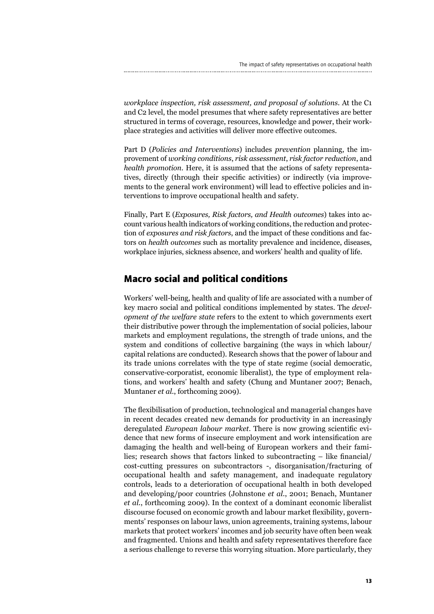*workplace inspection, risk assessment, and proposal of solutions*. At the C1 and C2 level, the model presumes that where safety representatives are better structured in terms of coverage, resources, knowledge and power, their workplace strategies and activities will deliver more effective outcomes.

Part D (*Policies and Interventions*) includes *prevention* planning, the improvement of *working conditions*, *risk assessment*, *risk factor reduction*, and *health promotion*. Here, it is assumed that the actions of safety representatives, directly (through their specific activities) or indirectly (via improvements to the general work environment) will lead to effective policies and interventions to improve occupational health and safety.

Finally, Part E (*Exposures, Risk factors, and Health outcomes*) takes into account various health indicators of working conditions, the reduction and protection of *exposures and risk factors*, and the impact of these conditions and factors on *health outcomes* such as mortality prevalence and incidence, diseases, workplace injuries, sickness absence, and workers' health and quality of life.

## **Macro social and political conditions**

Workers' well-being, health and quality of life are associated with a number of key macro social and political conditions implemented by states. The *development of the welfare state* refers to the extent to which governments exert their distributive power through the implementation of social policies, labour markets and employment regulations, the strength of trade unions, and the system and conditions of collective bargaining (the ways in which labour/ capital relations are conducted). Research shows that the power of labour and its trade unions correlates with the type of state regime (social democratic, conservative-corporatist, economic liberalist), the type of employment relations, and workers' health and safety (Chung and Muntaner 2007; Benach, Muntaner *et al.*, forthcoming 2009).

The flexibilisation of production, technological and managerial changes have in recent decades created new demands for productivity in an increasingly deregulated *European labour market*. There is now growing scientific evidence that new forms of insecure employment and work intensification are damaging the health and well-being of European workers and their families; research shows that factors linked to subcontracting – like financial/ cost-cutting pressures on subcontractors -, disorganisation/fracturing of occupational health and safety management, and inadequate regulatory controls, leads to a deterioration of occupational health in both developed and developing/poor countries (Johnstone *et al.*, 2001; Benach, Muntaner *et al.*, forthcoming 2009). In the context of a dominant economic liberalist discourse focused on economic growth and labour market flexibility, governments' responses on labour laws, union agreements, training systems, labour markets that protect workers' incomes and job security have often been weak and fragmented. Unions and health and safety representatives therefore face a serious challenge to reverse this worrying situation. More particularly, they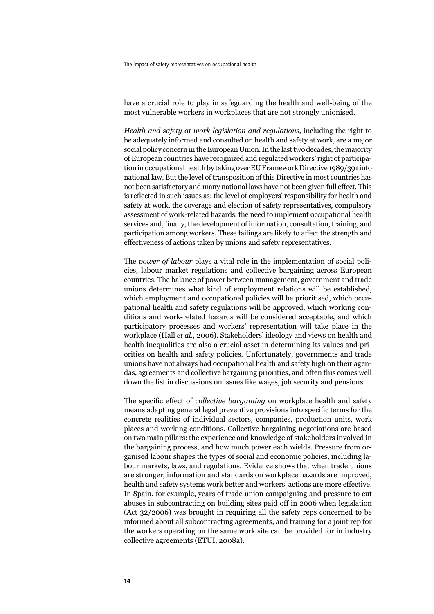have a crucial role to play in safeguarding the health and well-being of the most vulnerable workers in workplaces that are not strongly unionised.

*Health and safety at work legislation and regulations*, including the right to be adequately informed and consulted on health and safety at work, are a major social policy concern in the European Union. In the last two decades, the majority of European countries have recognized and regulated workers' right of participation in occupational health by taking over EU Framework Directive 1989/391 into national law. But the level of transposition of this Directive in most countries has not been satisfactory and many national laws have not been given full effect. This is reflected in such issues as: the level of employers' responsibility for health and safety at work, the coverage and election of safety representatives, compulsory assessment of work-related hazards, the need to implement occupational health services and, finally, the development of information, consultation, training, and participation among workers. These failings are likely to affect the strength and effectiveness of actions taken by unions and safety representatives.

The *power of labour* plays a vital role in the implementation of social policies, labour market regulations and collective bargaining across European countries. The balance of power between management, government and trade unions determines what kind of employment relations will be established, which employment and occupational policies will be prioritised, which occupational health and safety regulations will be approved, which working conditions and work-related hazards will be considered acceptable, and which participatory processes and workers' representation will take place in the workplace (Hall *et al.*, 2006). Stakeholders' ideology and views on health and health inequalities are also a crucial asset in determining its values and priorities on health and safety policies. Unfortunately, governments and trade unions have not always had occupational health and safety high on their agendas, agreements and collective bargaining priorities, and often this comes well down the list in discussions on issues like wages, job security and pensions.

The specific effect of *collective bargaining* on workplace health and safety means adapting general legal preventive provisions into specific terms for the concrete realities of individual sectors, companies, production units, work places and working conditions. Collective bargaining negotiations are based on two main pillars: the experience and knowledge of stakeholders involved in the bargaining process, and how much power each wields. Pressure from organised labour shapes the types of social and economic policies, including labour markets, laws, and regulations. Evidence shows that when trade unions are stronger, information and standards on workplace hazards are improved, health and safety systems work better and workers' actions are more effective. In Spain, for example, years of trade union campaigning and pressure to cut abuses in subcontracting on building sites paid off in 2006 when legislation (Act 32/2006) was brought in requiring all the safety reps concerned to be informed about all subcontracting agreements, and training for a joint rep for the workers operating on the same work site can be provided for in industry collective agreements (ETUI, 2008a).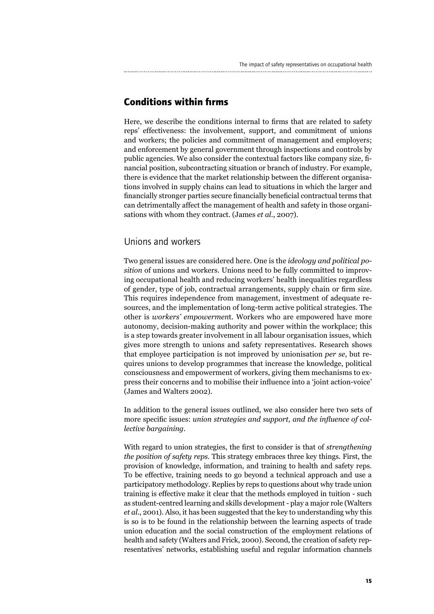## **Conditions within firms**

Here, we describe the conditions internal to firms that are related to safety reps' effectiveness: the involvement, support, and commitment of unions and workers; the policies and commitment of management and employers; and enforcement by general government through inspections and controls by public agencies. We also consider the contextual factors like company size, financial position, subcontracting situation or branch of industry. For example, there is evidence that the market relationship between the different organisations involved in supply chains can lead to situations in which the larger and financially stronger parties secure financially beneficial contractual terms that can detrimentally affect the management of health and safety in those organisations with whom they contract. (James *et al.*, 2007).

### Unions and workers

Two general issues are considered here. One is the *ideology and political position* of unions and workers. Unions need to be fully committed to improving occupational health and reducing workers' health inequalities regardless of gender, type of job, contractual arrangements, supply chain or firm size. This requires independence from management, investment of adequate resources, and the implementation of long-term active political strategies. The other is *workers' empowermen*t. Workers who are empowered have more autonomy, decision-making authority and power within the workplace; this is a step towards greater involvement in all labour organisation issues, which gives more strength to unions and safety representatives. Research shows that employee participation is not improved by unionisation *per se*, but requires unions to develop programmes that increase the knowledge, political consciousness and empowerment of workers, giving them mechanisms to express their concerns and to mobilise their influence into a 'joint action-voice' (James and Walters 2002).

In addition to the general issues outlined, we also consider here two sets of more specific issues: *union strategies and support, and the influence of collective bargaining*.

With regard to union strategies, the first to consider is that of *strengthening the position of safety reps*. This strategy embraces three key things. First, the provision of knowledge, information, and training to health and safety reps. To be effective, training needs to go beyond a technical approach and use a participatory methodology. Replies by reps to questions about why trade union training is effective make it clear that the methods employed in tuition - such as student-centred learning and skills development - play a major role (Walters *et al.*, 2001). Also, it has been suggested that the key to understanding why this is so is to be found in the relationship between the learning aspects of trade union education and the social construction of the employment relations of health and safety (Walters and Frick, 2000). Second, the creation of safety representatives' networks, establishing useful and regular information channels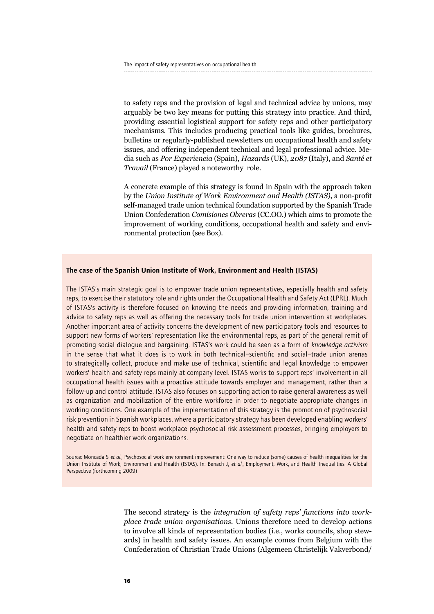to safety reps and the provision of legal and technical advice by unions, may arguably be two key means for putting this strategy into practice. And third, providing essential logistical support for safety reps and other participatory mechanisms. This includes producing practical tools like guides, brochures, bulletins or regularly-published newsletters on occupational health and safety issues, and offering independent technical and legal professional advice. Media such as *Por Experiencia* (Spain), *Hazards* (UK), *2087* (Italy), and *Santé et Travail* (France) played a noteworthy role.

A concrete example of this strategy is found in Spain with the approach taken by the *Union Institute of Work Environment and Health (ISTAS)*, a non-profit self-managed trade union technical foundation supported by the Spanish Trade Union Confederation *Comisiones Obreras* (CC.OO.) which aims to promote the improvement of working conditions, occupational health and safety and environmental protection (see Box).

#### The case of the Spanish Union Institute of Work, Environment and Health (ISTAS)

The ISTAS's main strategic goal is to empower trade union representatives, especially health and safety reps, to exercise their statutory role and rights under the Occupational Health and Safety Act (LPRL). Much of ISTAS's activity is therefore focused on knowing the needs and providing information, training and advice to safety reps as well as offering the necessary tools for trade union intervention at workplaces. Another important area of activity concerns the development of new participatory tools and resources to support new forms of workers' representation like the environmental reps, as part of the general remit of promoting social dialogue and bargaining. ISTAS's work could be seen as a form of *knowledge activism* in the sense that what it does is to work in both technical–scientific and social–trade union arenas to strategically collect, produce and make use of technical, scientific and legal knowledge to empower workers' health and safety reps mainly at company level. ISTAS works to support reps' involvement in all occupational health issues with a proactive attitude towards employer and management, rather than a follow-up and control attitude. ISTAS also focuses on supporting action to raise general awareness as well as organization and mobilization of the entire workforce in order to negotiate appropriate changes in working conditions. One example of the implementation of this strategy is the promotion of psychosocial risk prevention in Spanish workplaces, where a participatory strategy has been developed enabling workers' health and safety reps to boost workplace psychosocial risk assessment processes, bringing employers to negotiate on healthier work organizations.

Source: Moncada S *et al.*, Psychosocial work environment improvement: One way to reduce (some) causes of health inequalities for the Union Institute of Work, Environment and Health (ISTAS). In: Benach J, *et al.*, Employment, Work, and Health Inequalities: A Global Perspective (forthcoming 2009)

> The second strategy is the *integration of safety reps' functions into workplace trade union organisations*. Unions therefore need to develop actions to involve all kinds of representation bodies (i.e., works councils, shop stewards) in health and safety issues. An example comes from Belgium with the Confederation of Christian Trade Unions (Algemeen Christelijk Vakverbond/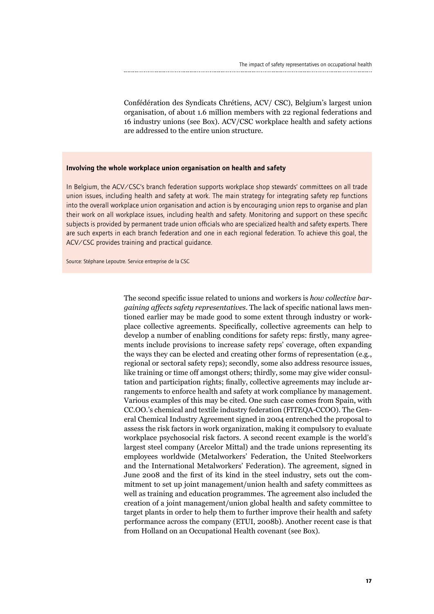Confédération des Syndicats Chrétiens, ACV/ CSC), Belgium's largest union organisation, of about 1.6 million members with 22 regional federations and 16 industry unions (see Box). ACV/CSC workplace health and safety actions are addressed to the entire union structure.

#### Involving the whole workplace union organisation on health and safety

In Belgium, the ACV/CSC's branch federation supports workplace shop stewards' committees on all trade union issues, including health and safety at work. The main strategy for integrating safety rep functions into the overall workplace union organisation and action is by encouraging union reps to organise and plan their work on all workplace issues, including health and safety. Monitoring and support on these specific subjects is provided by permanent trade union officials who are specialized health and safety experts. There are such experts in each branch federation and one in each regional federation. To achieve this goal, the ACV/CSC provides training and practical guidance.

Source: Stéphane Lepoutre. Service entreprise de la CSC

The second specific issue related to unions and workers is *how collective bargaining affects safety representatives*. The lack of specific national laws mentioned earlier may be made good to some extent through industry or workplace collective agreements. Specifically, collective agreements can help to develop a number of enabling conditions for safety reps: firstly, many agreements include provisions to increase safety reps' coverage, often expanding the ways they can be elected and creating other forms of representation (e.g., regional or sectoral safety reps); secondly, some also address resource issues, like training or time off amongst others; thirdly, some may give wider consultation and participation rights; finally, collective agreements may include arrangements to enforce health and safety at work compliance by management. Various examples of this may be cited. One such case comes from Spain, with CC.OO.'s chemical and textile industry federation (FITEQA-CCOO). The General Chemical Industry Agreement signed in 2004 entrenched the proposal to assess the risk factors in work organization, making it compulsory to evaluate workplace psychosocial risk factors. A second recent example is the world's largest steel company (Arcelor Mittal) and the trade unions representing its employees worldwide (Metalworkers' Federation, the United Steelworkers and the International Metalworkers' Federation). The agreement, signed in June 2008 and the first of its kind in the steel industry, sets out the commitment to set up joint management/union health and safety committees as well as training and education programmes. The agreement also included the creation of a joint management/union global health and safety committee to target plants in order to help them to further improve their health and safety performance across the company (ETUI, 2008b). Another recent case is that from Holland on an Occupational Health covenant (see Box).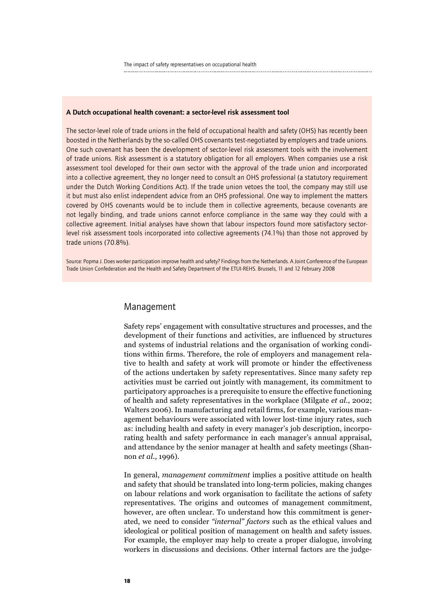#### A Dutch occupational health covenant: a sector-level risk assessment tool

The sector-level role of trade unions in the field of occupational health and safety (OHS) has recently been boosted in the Netherlands by the so-called OHS covenants test-negotiated by employers and trade unions. One such covenant has been the development of sector-level risk assessment tools with the involvement of trade unions. Risk assessment is a statutory obligation for all employers. When companies use a risk assessment tool developed for their own sector with the approval of the trade union and incorporated into a collective agreement, they no longer need to consult an OHS professional (a statutory requirement under the Dutch Working Conditions Act). If the trade union vetoes the tool, the company may still use it but must also enlist independent advice from an OHS professional. One way to implement the matters covered by OHS covenants would be to include them in collective agreements, because covenants are not legally binding, and trade unions cannot enforce compliance in the same way they could with a collective agreement. Initial analyses have shown that labour inspectors found more satisfactory sectorlevel risk assessment tools incorporated into collective agreements (74.1%) than those not approved by trade unions (70.8%).

Source: Popma J. Does worker participation improve health and safety? Findings from the Netherlands. A Joint Conference of the European Trade Union Confederation and the Health and Safety Department of the ETUI-REHS. Brussels, 11 and 12 February 2008

### Management

Safety reps' engagement with consultative structures and processes, and the development of their functions and activities, are influenced by structures and systems of industrial relations and the organisation of working conditions within firms. Therefore, the role of employers and management relative to health and safety at work will promote or hinder the effectiveness of the actions undertaken by safety representatives. Since many safety rep activities must be carried out jointly with management, its commitment to participatory approaches is a prerequisite to ensure the effective functioning of health and safety representatives in the workplace (Milgate *et al.*, 2002; Walters 2006). In manufacturing and retail firms, for example, various management behaviours were associated with lower lost-time injury rates, such as: including health and safety in every manager's job description, incorporating health and safety performance in each manager's annual appraisal, and attendance by the senior manager at health and safety meetings (Shannon *et al.*, 1996).

In general, *management commitment* implies a positive attitude on health and safety that should be translated into long-term policies, making changes on labour relations and work organisation to facilitate the actions of safety representatives. The origins and outcomes of management commitment, however, are often unclear. To understand how this commitment is generated, we need to consider *"internal" factors* such as the ethical values and ideological or political position of management on health and safety issues. For example, the employer may help to create a proper dialogue, involving workers in discussions and decisions. Other internal factors are the judge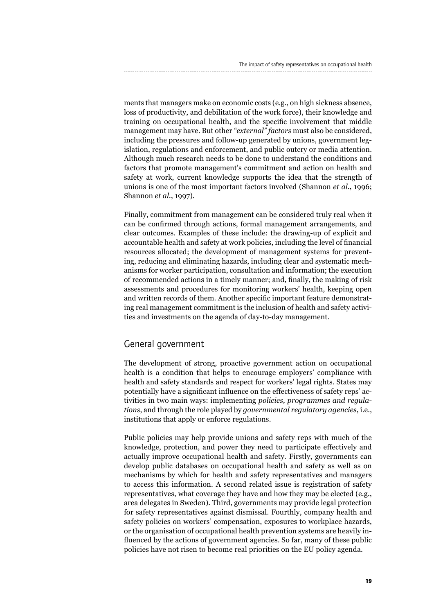ments that managers make on economic costs (e.g., on high sickness absence, loss of productivity, and debilitation of the work force), their knowledge and training on occupational health, and the specific involvement that middle management may have. But other *"external" factors* must also be considered, including the pressures and follow-up generated by unions, government legislation, regulations and enforcement, and public outcry or media attention. Although much research needs to be done to understand the conditions and factors that promote management's commitment and action on health and safety at work, current knowledge supports the idea that the strength of unions is one of the most important factors involved (Shannon *et al.*, 1996; Shannon *et al.*, 1997).

Finally, commitment from management can be considered truly real when it can be confirmed through actions, formal management arrangements, and clear outcomes. Examples of these include: the drawing-up of explicit and accountable health and safety at work policies, including the level of financial resources allocated; the development of management systems for preventing, reducing and eliminating hazards, including clear and systematic mechanisms for worker participation, consultation and information; the execution of recommended actions in a timely manner; and, finally, the making of risk assessments and procedures for monitoring workers' health, keeping open and written records of them. Another specific important feature demonstrating real management commitment is the inclusion of health and safety activities and investments on the agenda of day-to-day management.

### General government

The development of strong, proactive government action on occupational health is a condition that helps to encourage employers' compliance with health and safety standards and respect for workers' legal rights. States may potentially have a significant influence on the effectiveness of safety reps' activities in two main ways: implementing *policies, programmes and regulations*, and through the role played by *governmental regulatory agencies*, i.e., institutions that apply or enforce regulations.

Public policies may help provide unions and safety reps with much of the knowledge, protection, and power they need to participate effectively and actually improve occupational health and safety. Firstly, governments can develop public databases on occupational health and safety as well as on mechanisms by which for health and safety representatives and managers to access this information. A second related issue is registration of safety representatives, what coverage they have and how they may be elected (e.g., area delegates in Sweden). Third, governments may provide legal protection for safety representatives against dismissal. Fourthly, company health and safety policies on workers' compensation, exposures to workplace hazards, or the organisation of occupational health prevention systems are heavily influenced by the actions of government agencies. So far, many of these public policies have not risen to become real priorities on the EU policy agenda.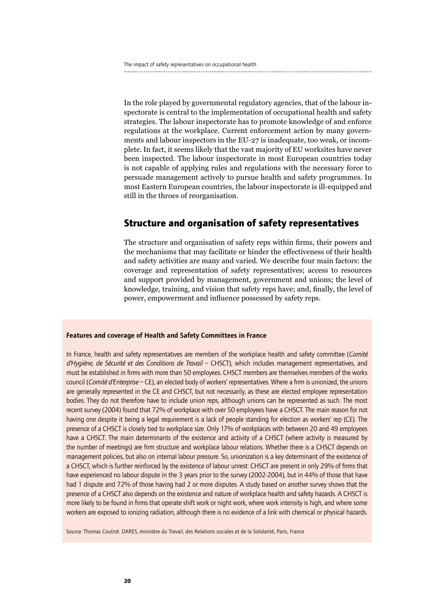In the role played by governmental regulatory agencies, that of the labour inspectorate is central to the implementation of occupational health and safety strategies. The labour inspectorate has to promote knowledge of and enforce regulations at the workplace. Current enforcement action by many governments and labour inspectors in the EU-27 is inadequate, too weak, or incomplete. In fact, it seems likely that the vast majority of EU worksites have never been inspected. The labour inspectorate in most European countries today is not capable of applying rules and regulations with the necessary force to persuade management actively to pursue health and safety programmes. In most Eastern European countries, the labour inspectorate is ill-equipped and still in the throes of reorganisation.

### **Structure and organisation of safety representatives**

The structure and organisation of safety reps within firms, their powers and the mechanisms that may facilitate or hinder the effectiveness of their health and safety activities are many and varied. We describe four main factors: the coverage and representation of safety representatives; access to resources and support provided by management, government and unions; the level of knowledge, training, and vision that safety reps have; and, finally, the level of power, empowerment and influence possessed by safety reps.

#### Features and coverage of Health and Safety Committees in France

In France, health and safety representatives are members of the workplace health and safety committee (*Comité d'Hygiène, de Sécurité et des Conditions de Travail* – CHSCT), which includes management representatives, and must be established in firms with more than 50 employees. CHSCT members are themselves members of the works council (*Comité d'Enterprise* – CE), an elected body of workers' representatives. Where a firm is unionized, the unions are generally represented in the CE and CHSCT, but not necessarily, as these are elected employee representation bodies. They do not therefore have to include union reps, although unions can be represented as such. The most recent survey (2004) found that 72% of workplace with over 50 employees have a CHSCT. The main reason for not having one despite it being a legal requirement is a lack of people standing for election as workers' rep (CE). The presence of a CHSCT is closely tied to workplace size. Only 17% of workplaces with between 20 and 49 employees have a CHSCT. The main determinants of the existence and activity of a CHSCT (where activity is measured by the number of meetings) are firm structure and workplace labour relations. Whether there is a CHSCT depends on management policies, but also on internal labour pressure. So, unionization is a key determinant of the existence of a CHSCT, which is further reinforced by the existence of labour unrest: CHSCT are present in only 29% of firms that have experienced no labour dispute in the 3 years prior to the survey (2002-2004), but in 44% of those that have had 1 dispute and 72% of those having had 2 or more disputes. A study based on another survey shows that the presence of a CHSCT also depends on the existence and nature of workplace health and safety hazards. A CHSCT is more likely to be found in firms that operate shift work or night work, where work intensity is high, and where some workers are exposed to ionizing radiation, although there is no evidence of a link with chemical or physical hazards.

Source: Thomas Coutrot. DARES, ministère du Travail, des Relations sociales et de la Solidarité, Paris, France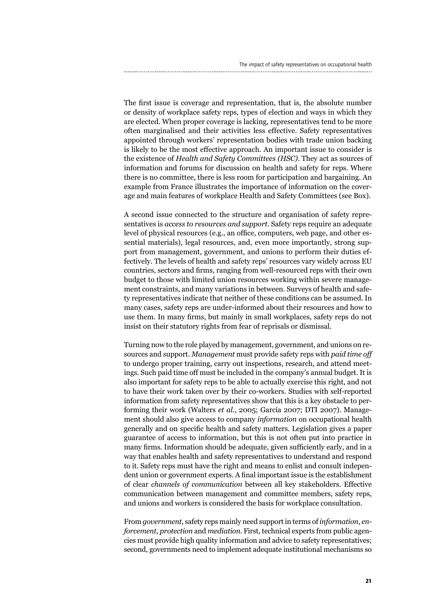The first issue is coverage and representation, that is, the absolute number or density of workplace safety reps, types of election and ways in which they are elected. When proper coverage is lacking, representatives tend to be more often marginalised and their activities less effective. Safety representatives appointed through workers' representation bodies with trade union backing is likely to be the most effective approach. An important issue to consider is the existence of *Health and Safety Committees (HSC)*. They act as sources of information and forums for discussion on health and safety for reps. Where there is no committee, there is less room for participation and bargaining. An example from France illustrates the importance of information on the coverage and main features of workplace Health and Safety Committees (see Box).

A second issue connected to the structure and organisation of safety representatives is *access to resources and support*. Safety reps require an adequate level of physical resources (e.g., an office, computers, web page, and other essential materials), legal resources, and, even more importantly, strong support from management, government, and unions to perform their duties effectively. The levels of health and safety reps' resources vary widely across EU countries, sectors and firms, ranging from well-resourced reps with their own budget to those with limited union resources working within severe management constraints, and many variations in between. Surveys of health and safety representatives indicate that neither of these conditions can be assumed. In many cases, safety reps are under-informed about their resources and how to use them. In many firms, but mainly in small workplaces, safety reps do not insist on their statutory rights from fear of reprisals or dismissal.

Turning now to the role played by management, government, and unions on resources and support. *Management* must provide safety reps with *paid time off*  to undergo proper training, carry out inspections, research, and attend meetings. Such paid time off must be included in the company's annual budget. It is also important for safety reps to be able to actually exercise this right, and not to have their work taken over by their co-workers. Studies with self-reported information from safety representatives show that this is a key obstacle to performing their work (Walters *et al.*, 2005; García 2007; DTI 2007). Management should also give access to company *information* on occupational health generally and on specific health and safety matters. Legislation gives a paper guarantee of access to information, but this is not often put into practice in many firms. Information should be adequate, given sufficiently early, and in a way that enables health and safety representatives to understand and respond to it. Safety reps must have the right and means to enlist and consult independent union or government experts. A final important issue is the establishment of clear *channels of communication* between all key stakeholders. Effective communication between management and committee members, safety reps, and unions and workers is considered the basis for workplace consultation.

From *government*, safety reps mainly need support in terms of *information*, *enforcement*, *protection* and *mediation*. First, technical experts from public agencies must provide high quality information and advice to safety representatives; second, governments need to implement adequate institutional mechanisms so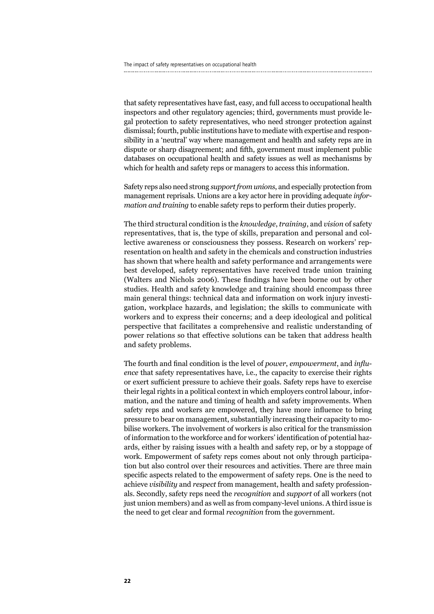that safety representatives have fast, easy, and full access to occupational health inspectors and other regulatory agencies; third, governments must provide legal protection to safety representatives, who need stronger protection against dismissal; fourth, public institutions have to mediate with expertise and responsibility in a 'neutral' way where management and health and safety reps are in dispute or sharp disagreement; and fifth, government must implement public databases on occupational health and safety issues as well as mechanisms by which for health and safety reps or managers to access this information.

Safety reps also need strong *support from unions*, and especially protection from management reprisals. Unions are a key actor here in providing adequate *information and training* to enable safety reps to perform their duties properly.

The third structural condition is the *knowledge*, *training*, and *vision* of safety representatives, that is, the type of skills, preparation and personal and collective awareness or consciousness they possess. Research on workers' representation on health and safety in the chemicals and construction industries has shown that where health and safety performance and arrangements were best developed, safety representatives have received trade union training (Walters and Nichols 2006). These findings have been borne out by other studies. Health and safety knowledge and training should encompass three main general things: technical data and information on work injury investigation, workplace hazards, and legislation; the skills to communicate with workers and to express their concerns; and a deep ideological and political perspective that facilitates a comprehensive and realistic understanding of power relations so that effective solutions can be taken that address health and safety problems.

The fourth and final condition is the level of *power*, *empowerment*, and *influence* that safety representatives have, i.e., the capacity to exercise their rights or exert sufficient pressure to achieve their goals. Safety reps have to exercise their legal rights in a political context in which employers control labour, information, and the nature and timing of health and safety improvements. When safety reps and workers are empowered, they have more influence to bring pressure to bear on management, substantially increasing their capacity to mobilise workers. The involvement of workers is also critical for the transmission of information to the workforce and for workers' identification of potential hazards, either by raising issues with a health and safety rep, or by a stoppage of work. Empowerment of safety reps comes about not only through participation but also control over their resources and activities. There are three main specific aspects related to the empowerment of safety reps. One is the need to achieve *visibility* and *respect* from management, health and safety professionals. Secondly, safety reps need the *recognition* and *support* of all workers (not just union members) and as well as from company-level unions. A third issue is the need to get clear and formal *recognition* from the government.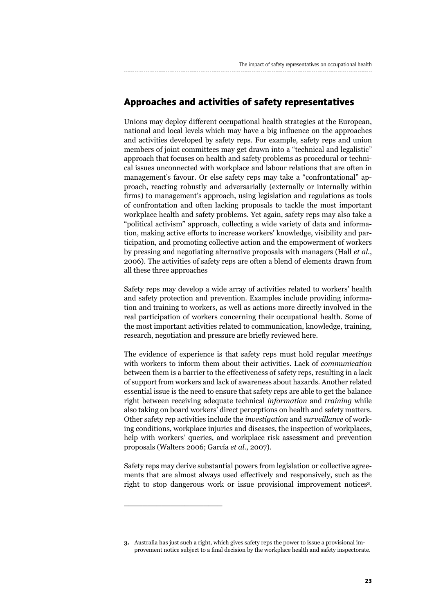## **Approaches and activities of safety representatives**

Unions may deploy different occupational health strategies at the European, national and local levels which may have a big influence on the approaches and activities developed by safety reps. For example, safety reps and union members of joint committees may get drawn into a "technical and legalistic" approach that focuses on health and safety problems as procedural or technical issues unconnected with workplace and labour relations that are often in management's favour. Or else safety reps may take a "confrontational" approach, reacting robustly and adversarially (externally or internally within firms) to management's approach, using legislation and regulations as tools of confrontation and often lacking proposals to tackle the most important workplace health and safety problems. Yet again, safety reps may also take a "political activism" approach, collecting a wide variety of data and information, making active efforts to increase workers' knowledge, visibility and participation, and promoting collective action and the empowerment of workers by pressing and negotiating alternative proposals with managers (Hall *et al.*, 2006). The activities of safety reps are often a blend of elements drawn from all these three approaches

Safety reps may develop a wide array of activities related to workers' health and safety protection and prevention. Examples include providing information and training to workers, as well as actions more directly involved in the real participation of workers concerning their occupational health. Some of the most important activities related to communication, knowledge, training, research, negotiation and pressure are briefly reviewed here.

The evidence of experience is that safety reps must hold regular *meetings* with workers to inform them about their activities. Lack of *communication* between them is a barrier to the effectiveness of safety reps, resulting in a lack of support from workers and lack of awareness about hazards. Another related essential issue is the need to ensure that safety reps are able to get the balance right between receiving adequate technical *information* and *training* while also taking on board workers' direct perceptions on health and safety matters. Other safety rep activities include the *investigation* and *surveillance* of working conditions, workplace injuries and diseases, the inspection of workplaces, help with workers' queries, and workplace risk assessment and prevention proposals (Walters 2006; García *et al.*, 2007).

Safety reps may derive substantial powers from legislation or collective agreements that are almost always used effectively and responsively, such as the right to stop dangerous work or issue provisional improvement notices**<sup>3</sup>**.

\_\_\_\_\_\_\_\_\_\_\_\_\_\_\_\_\_\_\_\_\_

**<sup>3.</sup>** Australia has just such a right, which gives safety reps the power to issue a provisional improvement notice subject to a final decision by the workplace health and safety inspectorate.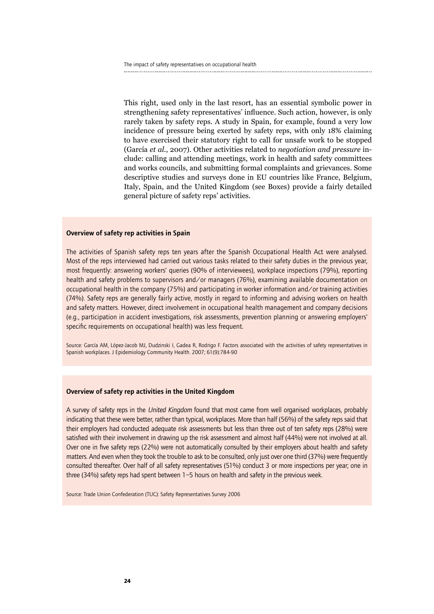This right, used only in the last resort, has an essential symbolic power in strengthening safety representatives' influence. Such action, however, is only rarely taken by safety reps. A study in Spain, for example, found a very low incidence of pressure being exerted by safety reps, with only 18% claiming to have exercised their statutory right to call for unsafe work to be stopped (García *et al.*, 2007). Other activities related to *negotiation and pressure* include: calling and attending meetings, work in health and safety committees and works councils, and submitting formal complaints and grievances. Some descriptive studies and surveys done in EU countries like France, Belgium, Italy, Spain, and the United Kingdom (see Boxes) provide a fairly detailed general picture of safety reps' activities.

#### Overview of safety rep activities in Spain

The activities of Spanish safety reps ten years after the Spanish Occupational Health Act were analysed. Most of the reps interviewed had carried out various tasks related to their safety duties in the previous year, most frequently: answering workers' queries (90% of interviewees), workplace inspections (79%), reporting health and safety problems to supervisors and/or managers (76%), examining available documentation on occupational health in the company (75%) and participating in worker information and/or training activities (74%). Safety reps are generally fairly active, mostly in regard to informing and advising workers on health and safety matters. However, direct involvement in occupational health management and company decisions (e.g., participation in accident investigations, risk assessments, prevention planning or answering employers' specific requirements on occupational health) was less frequent.

Source: García AM, López-Jacob MJ, Dudzinski I, Gadea R, Rodrigo F. Factors associated with the activities of safety representatives in Spanish workplaces. J Epidemiology Community Health. 2007; 61(9):784-90

#### Overview of safety rep activities in the United Kingdom

A survey of safety reps in the *United Kingdom* found that most came from well organised workplaces, probably indicating that these were better, rather than typical, workplaces. More than half (56%) of the safety reps said that their employers had conducted adequate risk assessments but less than three out of ten safety reps (28%) were satisfied with their involvement in drawing up the risk assessment and almost half (44%) were not involved at all. Over one in five safety reps (22%) were not automatically consulted by their employers about health and safety matters. And even when they took the trouble to ask to be consulted, only just over one third (37%) were frequently consulted thereafter. Over half of all safety representatives (51%) conduct 3 or more inspections per year; one in three (34%) safety reps had spent between 1–5 hours on health and safety in the previous week.

Source: Trade Union Confederation (TUC): Safety Representatives Survey 2006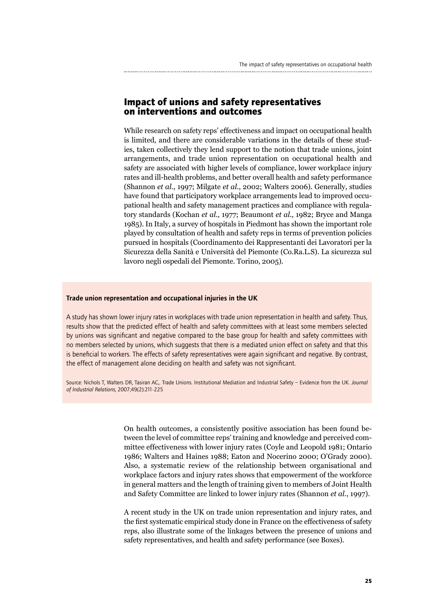## **Impact of unions and safety representatives on interventions and outcomes**

While research on safety reps' effectiveness and impact on occupational health is limited, and there are considerable variations in the details of these studies, taken collectively they lend support to the notion that trade unions, joint arrangements, and trade union representation on occupational health and safety are associated with higher levels of compliance, lower workplace injury rates and ill-health problems, and better overall health and safety performance (Shannon *et al.*, 1997; Milgate *et al.*, 2002; Walters 2006). Generally, studies have found that participatory workplace arrangements lead to improved occupational health and safety management practices and compliance with regulatory standards (Kochan *et al.*, 1977; Beaumont *et al.*, 1982; Bryce and Manga 1985). In Italy, a survey of hospitals in Piedmont has shown the important role played by consultation of health and safety reps in terms of prevention policies pursued in hospitals (Coordinamento dei Rappresentanti dei Lavoratori per la Sicurezza della Sanità e Università del Piemonte (Co.Ra.L.S). La sicurezza sul lavoro negli ospedali del Piemonte. Torino, 2005).

#### Trade union representation and occupational injuries in the UK

A study has shown lower injury rates in workplaces with trade union representation in health and safety. Thus, results show that the predicted effect of health and safety committees with at least some members selected by unions was significant and negative compared to the base group for health and safety committees with no members selected by unions, which suggests that there is a mediated union effect on safety and that this is beneficial to workers. The effects of safety representatives were again significant and negative. By contrast, the effect of management alone deciding on health and safety was not significant.

Source: Nichols T, Walters DR, Tasiran AC,. Trade Unions. Institutional Mediation and Industrial Safety – Evidence from the UK. *Journal of Industrial Relations*, 2007;49(2):211-225

> On health outcomes, a consistently positive association has been found between the level of committee reps' training and knowledge and perceived committee effectiveness with lower injury rates (Coyle and Leopold 1981; Ontario 1986; Walters and Haines 1988; Eaton and Nocerino 2000; O'Grady 2000). Also, a systematic review of the relationship between organisational and workplace factors and injury rates shows that empowerment of the workforce in general matters and the length of training given to members of Joint Health and Safety Committee are linked to lower injury rates (Shannon *et al.*, 1997).

> A recent study in the UK on trade union representation and injury rates, and the first systematic empirical study done in France on the effectiveness of safety reps, also illustrate some of the linkages between the presence of unions and safety representatives, and health and safety performance (see Boxes).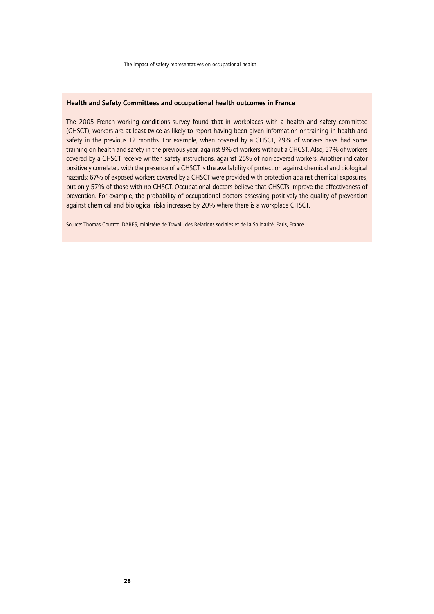#### Health and Safety Committees and occupational health outcomes in France

The 2005 French working conditions survey found that in workplaces with a health and safety committee (CHSCT), workers are at least twice as likely to report having been given information or training in health and safety in the previous 12 months. For example, when covered by a CHSCT, 29% of workers have had some training on health and safety in the previous year, against 9% of workers without a CHCST. Also, 57% of workers covered by a CHSCT receive written safety instructions, against 25% of non-covered workers. Another indicator positively correlated with the presence of a CHSCT is the availability of protection against chemical and biological hazards: 67% of exposed workers covered by a CHSCT were provided with protection against chemical exposures, but only 57% of those with no CHSCT. Occupational doctors believe that CHSCTs improve the effectiveness of prevention. For example, the probability of occupational doctors assessing positively the quality of prevention against chemical and biological risks increases by 20% where there is a workplace CHSCT.

Source: Thomas Coutrot. DARES, ministère de Travail, des Relations sociales et de la Solidarité, Paris, France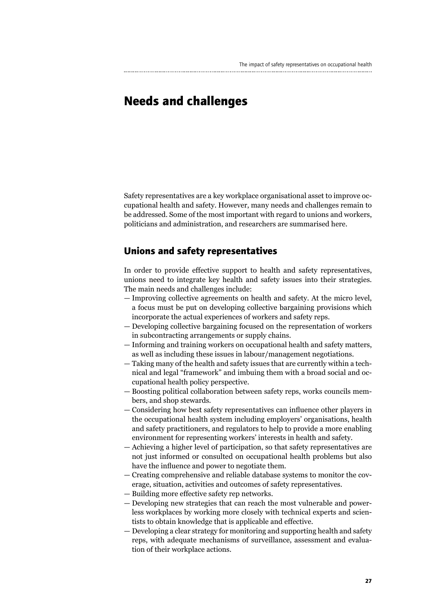## **Needs and challenges**

Safety representatives are a key workplace organisational asset to improve occupational health and safety. However, many needs and challenges remain to be addressed. Some of the most important with regard to unions and workers, politicians and administration, and researchers are summarised here.

### **Unions and safety representatives**

In order to provide effective support to health and safety representatives, unions need to integrate key health and safety issues into their strategies. The main needs and challenges include:

- Improving collective agreements on health and safety. At the micro level, a focus must be put on developing collective bargaining provisions which incorporate the actual experiences of workers and safety reps.
- Developing collective bargaining focused on the representation of workers in subcontracting arrangements or supply chains.
- Informing and training workers on occupational health and safety matters, as well as including these issues in labour/management negotiations.
- Taking many of the health and safety issues that are currently within a technical and legal "framework" and imbuing them with a broad social and occupational health policy perspective.
- Boosting political collaboration between safety reps, works councils members, and shop stewards.
- Considering how best safety representatives can influence other players in the occupational health system including employers' organisations, health and safety practitioners, and regulators to help to provide a more enabling environment for representing workers' interests in health and safety.
- Achieving a higher level of participation, so that safety representatives are not just informed or consulted on occupational health problems but also have the influence and power to negotiate them.
- Creating comprehensive and reliable database systems to monitor the coverage, situation, activities and outcomes of safety representatives.
- Building more effective safety rep networks.
- Developing new strategies that can reach the most vulnerable and powerless workplaces by working more closely with technical experts and scientists to obtain knowledge that is applicable and effective.
- Developing a clear strategy for monitoring and supporting health and safety reps, with adequate mechanisms of surveillance, assessment and evaluation of their workplace actions.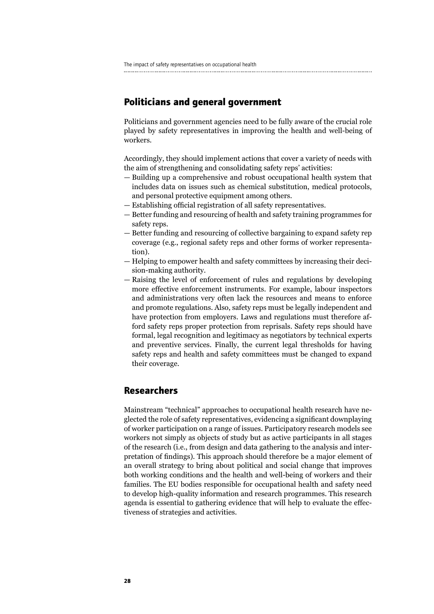## **Politicians and general government**

Politicians and government agencies need to be fully aware of the crucial role played by safety representatives in improving the health and well-being of workers.

Accordingly, they should implement actions that cover a variety of needs with the aim of strengthening and consolidating safety reps' activities:

- Building up a comprehensive and robust occupational health system that includes data on issues such as chemical substitution, medical protocols, and personal protective equipment among others.
- Establishing official registration of all safety representatives.
- Better funding and resourcing of health and safety training programmes for safety reps.
- Better funding and resourcing of collective bargaining to expand safety rep coverage (e.g., regional safety reps and other forms of worker representation).
- Helping to empower health and safety committees by increasing their decision-making authority.
- Raising the level of enforcement of rules and regulations by developing more effective enforcement instruments. For example, labour inspectors and administrations very often lack the resources and means to enforce and promote regulations. Also, safety reps must be legally independent and have protection from employers. Laws and regulations must therefore afford safety reps proper protection from reprisals. Safety reps should have formal, legal recognition and legitimacy as negotiators by technical experts and preventive services. Finally, the current legal thresholds for having safety reps and health and safety committees must be changed to expand their coverage.

### **Researchers**

Mainstream "technical" approaches to occupational health research have neglected the role of safety representatives, evidencing a significant downplaying of worker participation on a range of issues. Participatory research models see workers not simply as objects of study but as active participants in all stages of the research (i.e., from design and data gathering to the analysis and interpretation of findings). This approach should therefore be a major element of an overall strategy to bring about political and social change that improves both working conditions and the health and well-being of workers and their families. The EU bodies responsible for occupational health and safety need to develop high-quality information and research programmes. This research agenda is essential to gathering evidence that will help to evaluate the effectiveness of strategies and activities.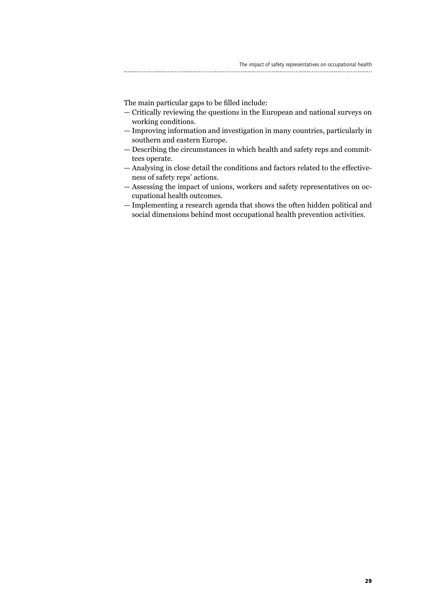The main particular gaps to be filled include:

- Critically reviewing the questions in the European and national surveys on working conditions.
- Improving information and investigation in many countries, particularly in southern and eastern Europe.
- Describing the circumstances in which health and safety reps and committees operate.
- Analysing in close detail the conditions and factors related to the effectiveness of safety reps' actions.
- Assessing the impact of unions, workers and safety representatives on occupational health outcomes.
- Implementing a research agenda that shows the often hidden political and social dimensions behind most occupational health prevention activities.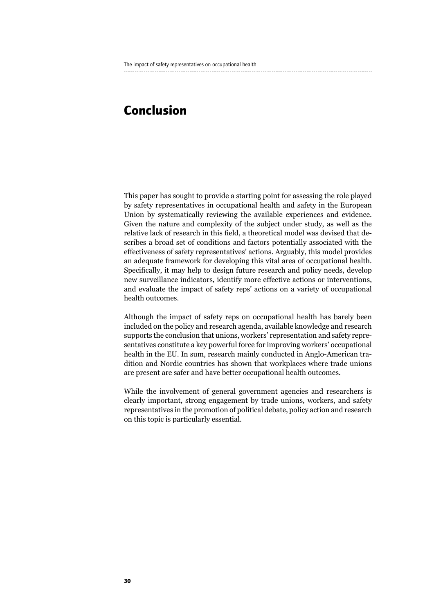## **Conclusion**

This paper has sought to provide a starting point for assessing the role played by safety representatives in occupational health and safety in the European Union by systematically reviewing the available experiences and evidence. Given the nature and complexity of the subject under study, as well as the relative lack of research in this field, a theoretical model was devised that describes a broad set of conditions and factors potentially associated with the effectiveness of safety representatives' actions. Arguably, this model provides an adequate framework for developing this vital area of occupational health. Specifically, it may help to design future research and policy needs, develop new surveillance indicators, identify more effective actions or interventions, and evaluate the impact of safety reps' actions on a variety of occupational health outcomes.

Although the impact of safety reps on occupational health has barely been included on the policy and research agenda, available knowledge and research supports the conclusion that unions, workers' representation and safety representatives constitute a key powerful force for improving workers' occupational health in the EU. In sum, research mainly conducted in Anglo-American tradition and Nordic countries has shown that workplaces where trade unions are present are safer and have better occupational health outcomes.

While the involvement of general government agencies and researchers is clearly important, strong engagement by trade unions, workers, and safety representatives in the promotion of political debate, policy action and research on this topic is particularly essential.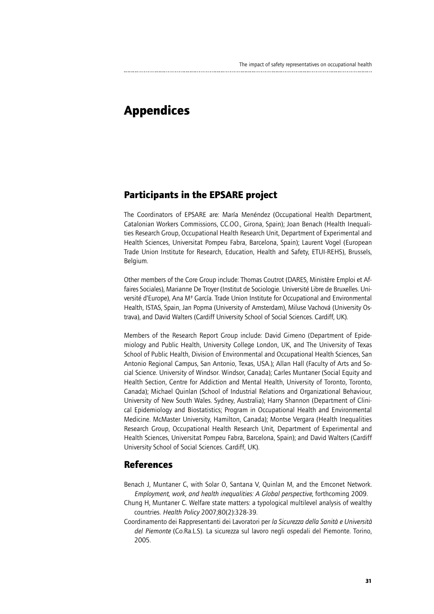## **Appendices**

## **Participants in the EPSARE project**

The Coordinators of EPSARE are: María Menéndez (Occupational Health Department, Catalonian Workers Commissions, CC.OO., Girona, Spain); Joan Benach (Health Inequalities Research Group, Occupational Health Research Unit, Department of Experimental and Health Sciences, Universitat Pompeu Fabra, Barcelona, Spain); Laurent Vogel (European Trade Union Institute for Research, Education, Health and Safety, ETUI-REHS), Brussels, Belgium.

Other members of the Core Group include: Thomas Coutrot (DARES, Ministère Emploi et Affaires Sociales), Marianne De Troyer (Institut de Sociologie. Université Libre de Bruxelles. Université d'Europe), Ana Mª García. Trade Union Institute for Occupational and Environmental Health, ISTAS, Spain, Jan Popma (University of Amsterdam), Miluse Vachová (University Ostrava), and David Walters (Cardiff University School of Social Sciences. Cardiff, UK).

Members of the Research Report Group include: David Gimeno (Department of Epidemiology and Public Health, University College London, UK, and The University of Texas School of Public Health, Division of Environmental and Occupational Health Sciences, San Antonio Regional Campus, San Antonio, Texas, USA.); Allan Hall (Faculty of Arts and Social Science. University of Windsor. Windsor, Canada); Carles Muntaner (Social Equity and Health Section, Centre for Addiction and Mental Health, University of Toronto, Toronto, Canada); Michael Quinlan (School of Industrial Relations and Organizational Behaviour, University of New South Wales. Sydney, Australia); Harry Shannon (Department of Clinical Epidemiology and Biostatistics; Program in Occupational Health and Environmental Medicine. McMaster University, Hamilton, Canada); Montse Vergara (Health Inequalities Research Group, Occupational Health Research Unit, Department of Experimental and Health Sciences, Universitat Pompeu Fabra, Barcelona, Spain); and David Walters (Cardiff University School of Social Sciences. Cardiff, UK).

### **References**

- Benach J, Muntaner C, with Solar O, Santana V, Quinlan M, and the Emconet Network. *Employment, work, and health inequalities: A Global perspective*, forthcoming 2009.
- Chung H, Muntaner C. Welfare state matters: a typological multilevel analysis of wealthy countries. *Health Policy* 2007;80(2):328-39.
- Coordinamento dei Rappresentanti dei Lavoratori per *la Sicurezza della Sanità e Università del Piemonte* (Co.Ra.L.S). La sicurezza sul lavoro negli ospedali del Piemonte. Torino, 2005.